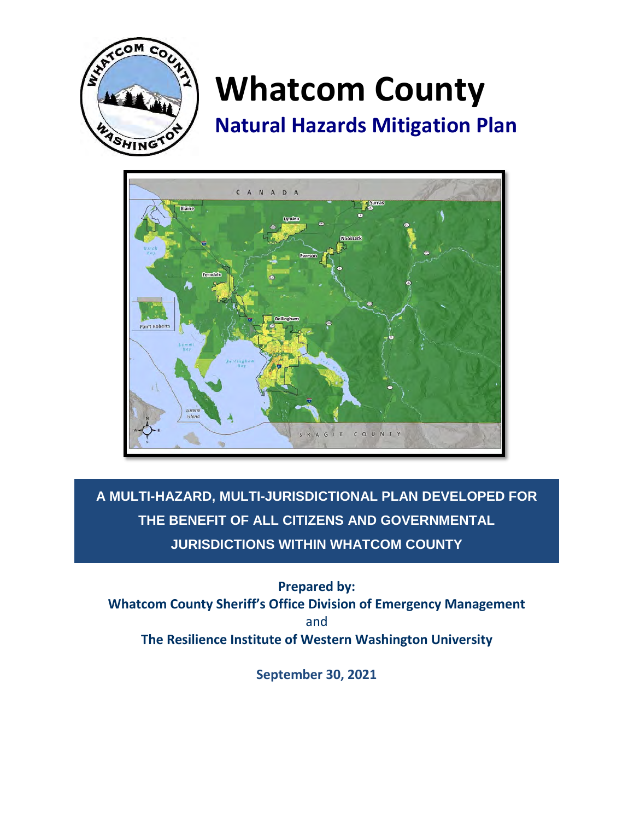

# **Whatcom County**

**Natural Hazards Mitigation Plan**



**A MULTI-HAZARD, MULTI-JURISDICTIONAL PLAN DEVELOPED FOR THE BENEFIT OF ALL CITIZENS AND GOVERNMENTAL JURISDICTIONS WITHIN WHATCOM COUNTY** 

**Prepared by: Whatcom County Sheriff's Office Division of Emergency Management** and **The Resilience Institute of Western Washington University**

**September 30, 2021**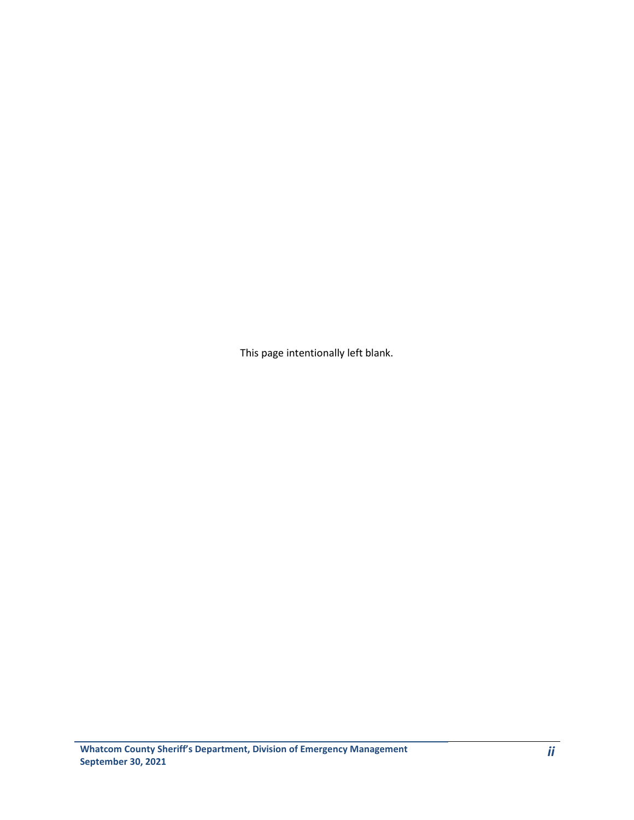This page intentionally left blank.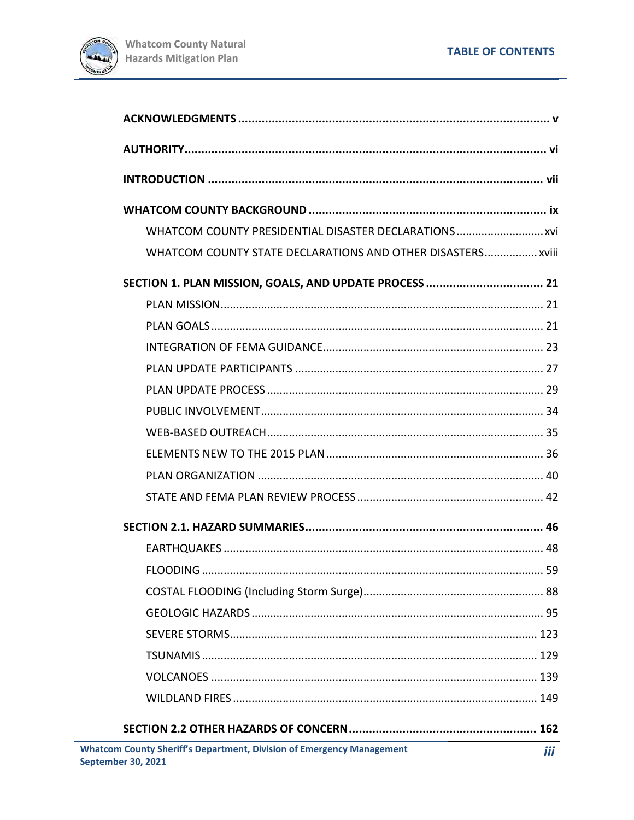

| WHATCOM COUNTY PRESIDENTIAL DISASTER DECLARATIONS xvi                                                            |
|------------------------------------------------------------------------------------------------------------------|
| WHATCOM COUNTY STATE DECLARATIONS AND OTHER DISASTERS xviii                                                      |
| SECTION 1. PLAN MISSION, GOALS, AND UPDATE PROCESS  21                                                           |
|                                                                                                                  |
|                                                                                                                  |
|                                                                                                                  |
|                                                                                                                  |
|                                                                                                                  |
|                                                                                                                  |
|                                                                                                                  |
|                                                                                                                  |
|                                                                                                                  |
|                                                                                                                  |
|                                                                                                                  |
|                                                                                                                  |
|                                                                                                                  |
|                                                                                                                  |
|                                                                                                                  |
|                                                                                                                  |
|                                                                                                                  |
|                                                                                                                  |
|                                                                                                                  |
|                                                                                                                  |
| <b>Whatcom County Sheriff's Department, Division of Emergency Management</b><br>iii<br><b>September 30, 2021</b> |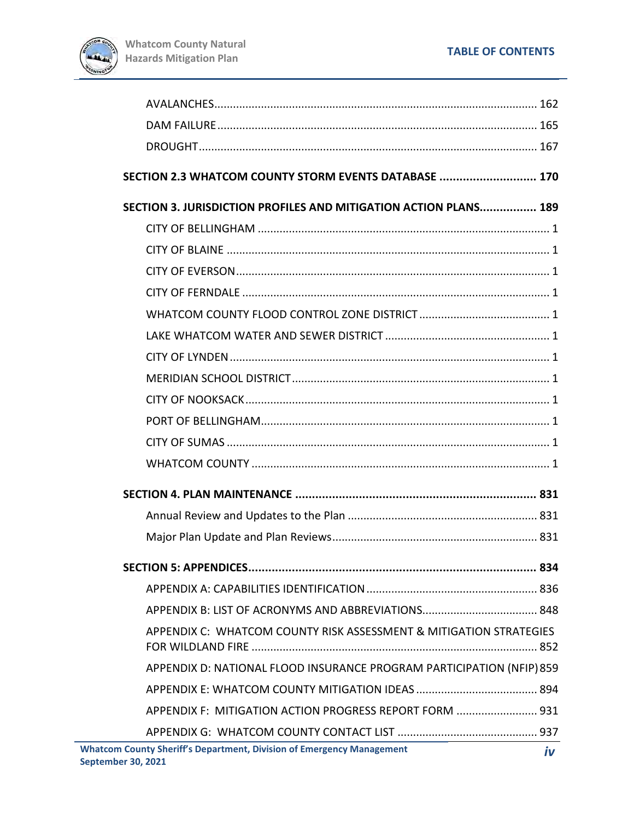

| SECTION 2.3 WHATCOM COUNTY STORM EVENTS DATABASE  170                        |    |
|------------------------------------------------------------------------------|----|
| SECTION 3. JURISDICTION PROFILES AND MITIGATION ACTION PLANS 189             |    |
|                                                                              |    |
|                                                                              |    |
|                                                                              |    |
|                                                                              |    |
|                                                                              |    |
|                                                                              |    |
|                                                                              |    |
|                                                                              |    |
|                                                                              |    |
|                                                                              |    |
|                                                                              |    |
|                                                                              |    |
|                                                                              |    |
|                                                                              |    |
|                                                                              |    |
|                                                                              |    |
|                                                                              |    |
|                                                                              |    |
| APPENDIX C: WHATCOM COUNTY RISK ASSESSMENT & MITIGATION STRATEGIES           |    |
| APPENDIX D: NATIONAL FLOOD INSURANCE PROGRAM PARTICIPATION (NFIP) 859        |    |
|                                                                              |    |
| APPENDIX F: MITIGATION ACTION PROGRESS REPORT FORM  931                      |    |
|                                                                              |    |
| <b>Whatcom County Sheriff's Department, Division of Emergency Management</b> | iv |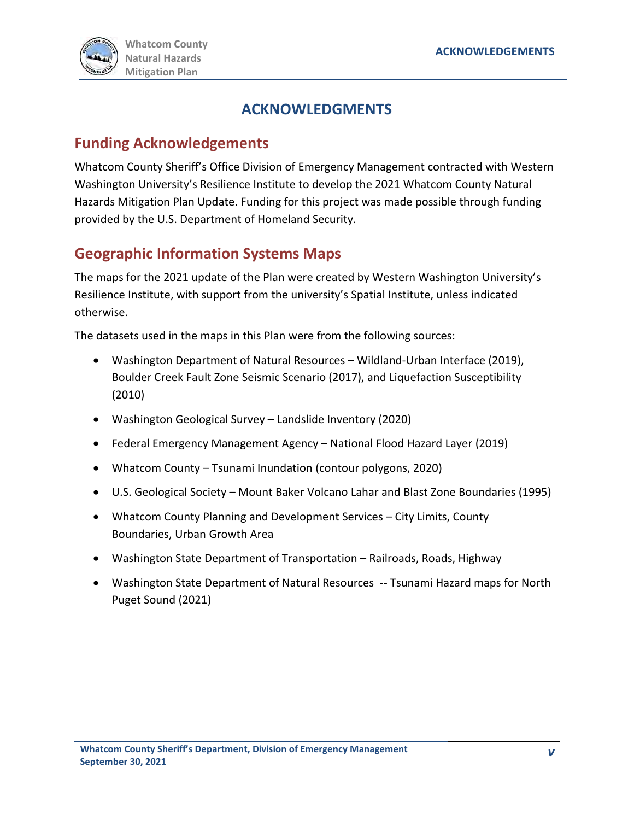

# **ACKNOWLEDGMENTS**

# <span id="page-4-0"></span>**Funding Acknowledgements**

Whatcom County Sheriff's Office Division of Emergency Management contracted with Western Washington University's Resilience Institute to develop the 2021 Whatcom County Natural Hazards Mitigation Plan Update. Funding for this project was made possible through funding provided by the U.S. Department of Homeland Security.

# **Geographic Information Systems Maps**

The maps for the 2021 update of the Plan were created by Western Washington University's Resilience Institute, with support from the university's Spatial Institute, unless indicated otherwise.

The datasets used in the maps in this Plan were from the following sources:

- Washington Department of Natural Resources Wildland-Urban Interface (2019), Boulder Creek Fault Zone Seismic Scenario (2017), and Liquefaction Susceptibility (2010)
- Washington Geological Survey Landslide Inventory (2020)
- Federal Emergency Management Agency National Flood Hazard Layer (2019)
- Whatcom County Tsunami Inundation (contour polygons, 2020)
- U.S. Geological Society Mount Baker Volcano Lahar and Blast Zone Boundaries (1995)
- Whatcom County Planning and Development Services City Limits, County Boundaries, Urban Growth Area
- Washington State Department of Transportation Railroads, Roads, Highway
- Washington State Department of Natural Resources -- Tsunami Hazard maps for North Puget Sound (2021)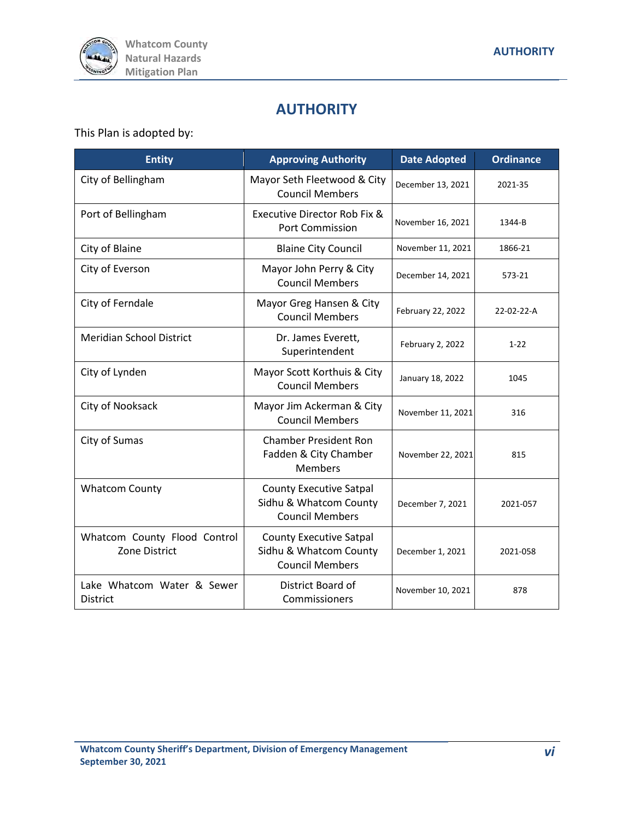

# **AUTHORITY**

# This Plan is adopted by:

| <b>Entity</b>                                 | <b>Approving Authority</b>                                                         | <b>Date Adopted</b> | <b>Ordinance</b> |
|-----------------------------------------------|------------------------------------------------------------------------------------|---------------------|------------------|
| City of Bellingham                            | Mayor Seth Fleetwood & City<br><b>Council Members</b>                              | December 13, 2021   | 2021-35          |
| Port of Bellingham                            | Executive Director Rob Fix &<br><b>Port Commission</b>                             | November 16, 2021   | 1344-B           |
| City of Blaine                                | <b>Blaine City Council</b>                                                         | November 11, 2021   | 1866-21          |
| City of Everson                               | Mayor John Perry & City<br><b>Council Members</b>                                  | December 14, 2021   | 573-21           |
| City of Ferndale                              | Mayor Greg Hansen & City<br><b>Council Members</b>                                 | February 22, 2022   | 22-02-22-A       |
| <b>Meridian School District</b>               | Dr. James Everett,<br>Superintendent                                               | February 2, 2022    | $1 - 22$         |
| City of Lynden                                | Mayor Scott Korthuis & City<br><b>Council Members</b>                              | January 18, 2022    | 1045             |
| City of Nooksack                              | Mayor Jim Ackerman & City<br><b>Council Members</b>                                | November 11, 2021   | 316              |
| City of Sumas                                 | <b>Chamber President Ron</b><br>Fadden & City Chamber<br><b>Members</b>            | November 22, 2021   | 815              |
| <b>Whatcom County</b>                         | <b>County Executive Satpal</b><br>Sidhu & Whatcom County<br><b>Council Members</b> | December 7, 2021    | 2021-057         |
| Whatcom County Flood Control<br>Zone District | <b>County Executive Satpal</b><br>Sidhu & Whatcom County<br><b>Council Members</b> | December 1, 2021    | 2021-058         |
| Lake Whatcom Water & Sewer<br><b>District</b> | District Board of<br>Commissioners                                                 | November 10, 2021   | 878              |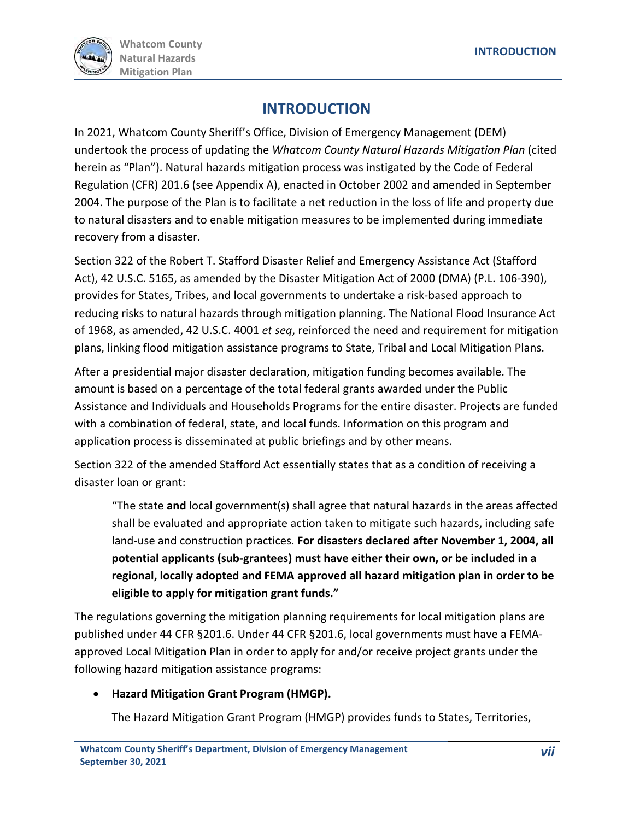

# **INTRODUCTION**

<span id="page-6-0"></span>In 2021, Whatcom County Sheriff's Office, Division of Emergency Management (DEM) undertook the process of updating the *Whatcom County Natural Hazards Mitigation Plan* (cited herein as "Plan"). Natural hazards mitigation process was instigated by the Code of Federal Regulation (CFR) 201.6 (see Appendix A), enacted in October 2002 and amended in September 2004. The purpose of the Plan is to facilitate a net reduction in the loss of life and property due to natural disasters and to enable mitigation measures to be implemented during immediate recovery from a disaster.

Section 322 of the Robert T. Stafford Disaster Relief and Emergency Assistance Act (Stafford Act), 42 U.S.C. 5165, as amended by the Disaster Mitigation Act of 2000 (DMA) (P.L. 106-390), provides for States, Tribes, and local governments to undertake a risk-based approach to reducing risks to natural hazards through mitigation planning. The National Flood Insurance Act of 1968, as amended, 42 U.S.C. 4001 *et seq*, reinforced the need and requirement for mitigation plans, linking flood mitigation assistance programs to State, Tribal and Local Mitigation Plans.

After a presidential major disaster declaration, mitigation funding becomes available. The amount is based on a percentage of the total federal grants awarded under the Public Assistance and Individuals and Households Programs for the entire disaster. Projects are funded with a combination of federal, state, and local funds. Information on this program and application process is disseminated at public briefings and by other means.

Section 322 of the amended Stafford Act essentially states that as a condition of receiving a disaster loan or grant:

"The state **and** local government(s) shall agree that natural hazards in the areas affected shall be evaluated and appropriate action taken to mitigate such hazards, including safe land-use and construction practices. **For disasters declared after November 1, 2004, all potential applicants (sub-grantees) must have either their own, or be included in a regional, locally adopted and FEMA approved all hazard mitigation plan in order to be eligible to apply for mitigation grant funds."**

The regulations governing the mitigation planning requirements for local mitigation plans are published under 44 CFR §201.6. Under 44 CFR §201.6, local governments must have a FEMAapproved Local Mitigation Plan in order to apply for and/or receive project grants under the following hazard mitigation assistance programs:

## • **Hazard Mitigation Grant Program (HMGP).**

The Hazard Mitigation Grant Program (HMGP) provides funds to States, Territories,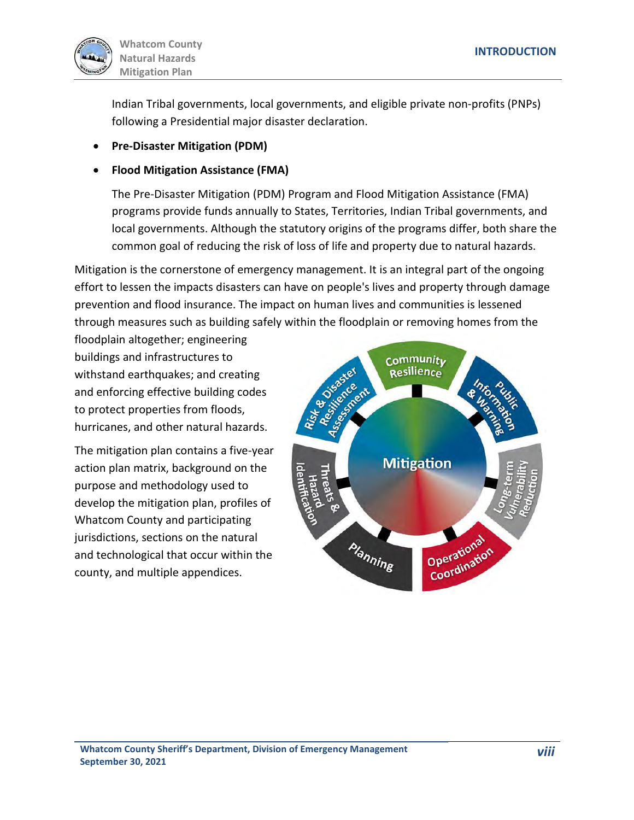

Indian Tribal governments, local governments, and eligible private non-profits (PNPs) following a Presidential major disaster declaration.

- **Pre-Disaster Mitigation (PDM)**
- **Flood Mitigation Assistance (FMA)**

The Pre-Disaster Mitigation (PDM) Program and Flood Mitigation Assistance (FMA) programs provide funds annually to States, Territories, Indian Tribal governments, and local governments. Although the statutory origins of the programs differ, both share the common goal of reducing the risk of loss of life and property due to natural hazards.

Mitigation is the cornerstone of emergency management. It is an integral part of the ongoing effort to lessen the impacts disasters can have on people's lives and property through damage prevention and flood insurance. The impact on human lives and communities is lessened through measures such as building safely within the floodplain or removing homes from the

floodplain altogether; engineering buildings and infrastructures to withstand earthquakes; and creating and enforcing effective building codes to protect properties from floods, hurricanes, and other natural hazards.

The mitigation plan contains a five-year action plan matrix, background on the purpose and methodology used to develop the mitigation plan, profiles of Whatcom County and participating jurisdictions, sections on the natural and technological that occur within the county, and multiple appendices.

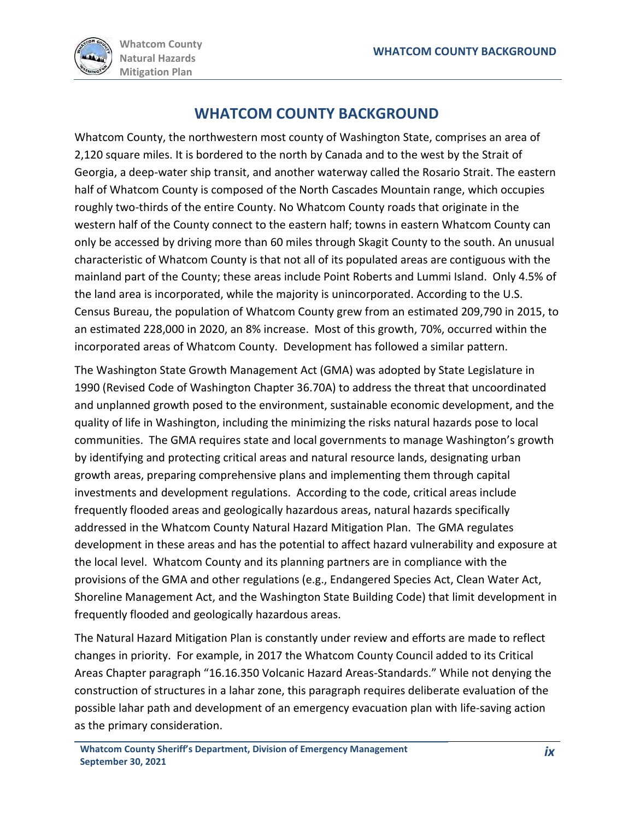

# **WHATCOM COUNTY BACKGROUND**

<span id="page-8-0"></span>Whatcom County, the northwestern most county of Washington State, comprises an area of 2,120 square miles. It is bordered to the north by Canada and to the west by the Strait of Georgia, a deep-water ship transit, and another waterway called the Rosario Strait. The eastern half of Whatcom County is composed of the North Cascades Mountain range, which occupies roughly two-thirds of the entire County. No Whatcom County roads that originate in the western half of the County connect to the eastern half; towns in eastern Whatcom County can only be accessed by driving more than 60 miles through Skagit County to the south. An unusual characteristic of Whatcom County is that not all of its populated areas are contiguous with the mainland part of the County; these areas include Point Roberts and Lummi Island. Only 4.5% of the land area is incorporated, while the majority is unincorporated. According to the U.S. Census Bureau, the population of Whatcom County grew from an estimated 209,790 in 2015, to an estimated 228,000 in 2020, an 8% increase. Most of this growth, 70%, occurred within the incorporated areas of Whatcom County. Development has followed a similar pattern.

The Washington State Growth Management Act (GMA) was adopted by State Legislature in 1990 (Revised Code of Washington Chapter 36.70A) to address the threat that uncoordinated and unplanned growth posed to the environment, sustainable economic development, and the quality of life in Washington, including the minimizing the risks natural hazards pose to local communities. The GMA requires state and local governments to manage Washington's growth by identifying and protecting critical areas and natural resource lands, designating urban growth areas, preparing comprehensive plans and implementing them through capital investments and development regulations. According to the code, critical areas include frequently flooded areas and geologically hazardous areas, natural hazards specifically addressed in the Whatcom County Natural Hazard Mitigation Plan. The GMA regulates development in these areas and has the potential to affect hazard vulnerability and exposure at the local level. Whatcom County and its planning partners are in compliance with the provisions of the GMA and other regulations (e.g., Endangered Species Act, Clean Water Act, Shoreline Management Act, and the Washington State Building Code) that limit development in frequently flooded and geologically hazardous areas.

The Natural Hazard Mitigation Plan is constantly under review and efforts are made to reflect changes in priority. For example, in 2017 the Whatcom County Council added to its Critical Areas Chapter paragraph "16.16.350 Volcanic Hazard Areas-Standards." While not denying the construction of structures in a lahar zone, this paragraph requires deliberate evaluation of the possible lahar path and development of an emergency evacuation plan with life-saving action as the primary consideration.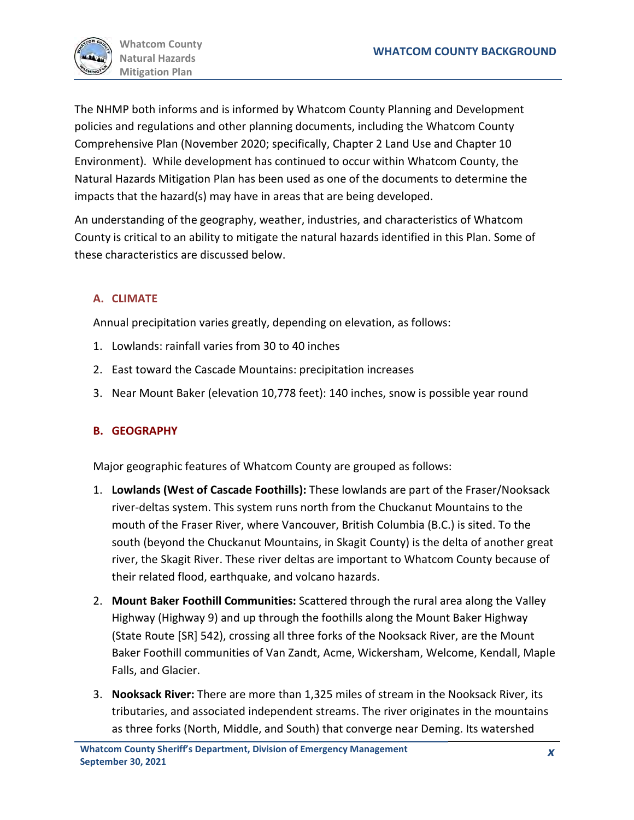

The NHMP both informs and is informed by Whatcom County Planning and Development policies and regulations and other planning documents, including the Whatcom County Comprehensive Plan (November 2020; specifically, Chapter 2 Land Use and Chapter 10 Environment). While development has continued to occur within Whatcom County, the Natural Hazards Mitigation Plan has been used as one of the documents to determine the impacts that the hazard(s) may have in areas that are being developed.

An understanding of the geography, weather, industries, and characteristics of Whatcom County is critical to an ability to mitigate the natural hazards identified in this Plan. Some of these characteristics are discussed below.

## **A. CLIMATE**

Annual precipitation varies greatly, depending on elevation, as follows:

- 1. Lowlands: rainfall varies from 30 to 40 inches
- 2. East toward the Cascade Mountains: precipitation increases
- 3. Near Mount Baker (elevation 10,778 feet): 140 inches, snow is possible year round

## **B. GEOGRAPHY**

Major geographic features of Whatcom County are grouped as follows:

- 1. **Lowlands (West of Cascade Foothills):** These lowlands are part of the Fraser/Nooksack river-deltas system. This system runs north from the Chuckanut Mountains to the mouth of the Fraser River, where Vancouver, British Columbia (B.C.) is sited. To the south (beyond the Chuckanut Mountains, in Skagit County) is the delta of another great river, the Skagit River. These river deltas are important to Whatcom County because of their related flood, earthquake, and volcano hazards.
- 2. **Mount Baker Foothill Communities:** Scattered through the rural area along the Valley Highway (Highway 9) and up through the foothills along the Mount Baker Highway (State Route [SR] 542), crossing all three forks of the Nooksack River, are the Mount Baker Foothill communities of Van Zandt, Acme, Wickersham, Welcome, Kendall, Maple Falls, and Glacier.
- 3. **Nooksack River:** There are more than 1,325 miles of stream in the Nooksack River, its tributaries, and associated independent streams. The river originates in the mountains as three forks (North, Middle, and South) that converge near Deming. Its watershed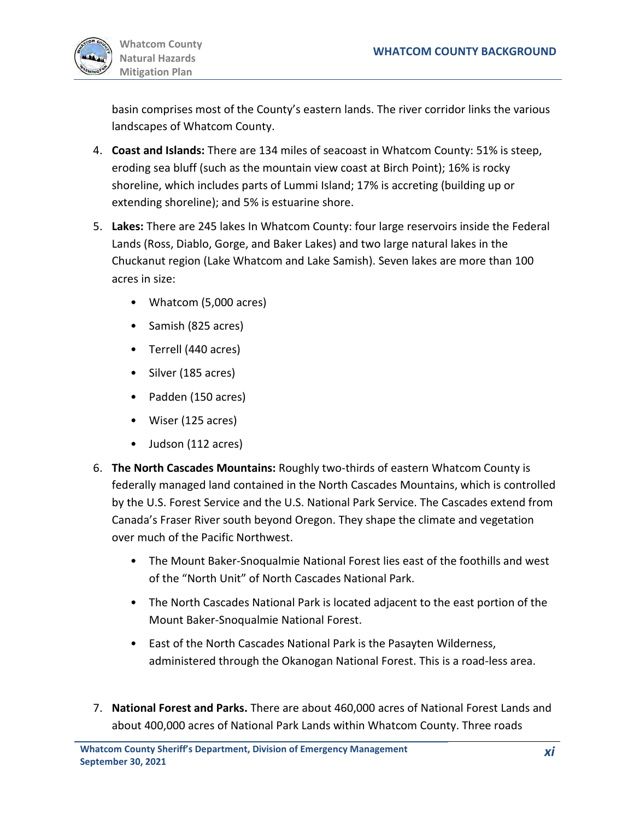

basin comprises most of the County's eastern lands. The river corridor links the various landscapes of Whatcom County.

- 4. **Coast and Islands:** There are 134 miles of seacoast in Whatcom County: 51% is steep, eroding sea bluff (such as the mountain view coast at Birch Point); 16% is rocky shoreline, which includes parts of Lummi Island; 17% is accreting (building up or extending shoreline); and 5% is estuarine shore.
- 5. **Lakes:** There are 245 lakes In Whatcom County: four large reservoirs inside the Federal Lands (Ross, Diablo, Gorge, and Baker Lakes) and two large natural lakes in the Chuckanut region (Lake Whatcom and Lake Samish). Seven lakes are more than 100 acres in size:
	- Whatcom (5,000 acres)
	- Samish (825 acres)
	- Terrell (440 acres)
	- Silver (185 acres)
	- Padden (150 acres)
	- Wiser (125 acres)
	- Judson (112 acres)
- 6. **The North Cascades Mountains:** Roughly two-thirds of eastern Whatcom County is federally managed land contained in the North Cascades Mountains, which is controlled by the U.S. Forest Service and the U.S. National Park Service. The Cascades extend from Canada's Fraser River south beyond Oregon. They shape the climate and vegetation over much of the Pacific Northwest.
	- The Mount Baker-Snoqualmie National Forest lies east of the foothills and west of the "North Unit" of North Cascades National Park.
	- The North Cascades National Park is located adjacent to the east portion of the Mount Baker-Snoqualmie National Forest.
	- East of the North Cascades National Park is the Pasayten Wilderness, administered through the Okanogan National Forest. This is a road-less area.
- 7. **National Forest and Parks.** There are about 460,000 acres of National Forest Lands and about 400,000 acres of National Park Lands within Whatcom County. Three roads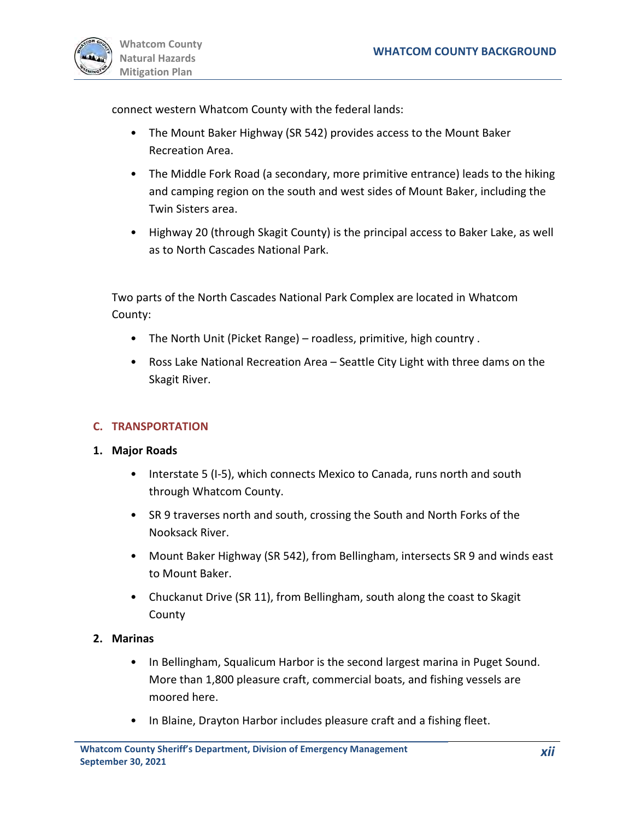

connect western Whatcom County with the federal lands:

- The Mount Baker Highway (SR 542) provides access to the Mount Baker Recreation Area.
- The Middle Fork Road (a secondary, more primitive entrance) leads to the hiking and camping region on the south and west sides of Mount Baker, including the Twin Sisters area.
- Highway 20 (through Skagit County) is the principal access to Baker Lake, as well as to North Cascades National Park.

Two parts of the North Cascades National Park Complex are located in Whatcom County:

- The North Unit (Picket Range) roadless, primitive, high country .
- Ross Lake National Recreation Area Seattle City Light with three dams on the Skagit River.

## **C. TRANSPORTATION**

- **1. Major Roads** 
	- Interstate 5 (I-5), which connects Mexico to Canada, runs north and south through Whatcom County.
	- SR 9 traverses north and south, crossing the South and North Forks of the Nooksack River.
	- Mount Baker Highway (SR 542), from Bellingham, intersects SR 9 and winds east to Mount Baker.
	- Chuckanut Drive (SR 11), from Bellingham, south along the coast to Skagit County

#### **2. Marinas**

- In Bellingham, Squalicum Harbor is the second largest marina in Puget Sound. More than 1,800 pleasure craft, commercial boats, and fishing vessels are moored here.
- In Blaine, Drayton Harbor includes pleasure craft and a fishing fleet.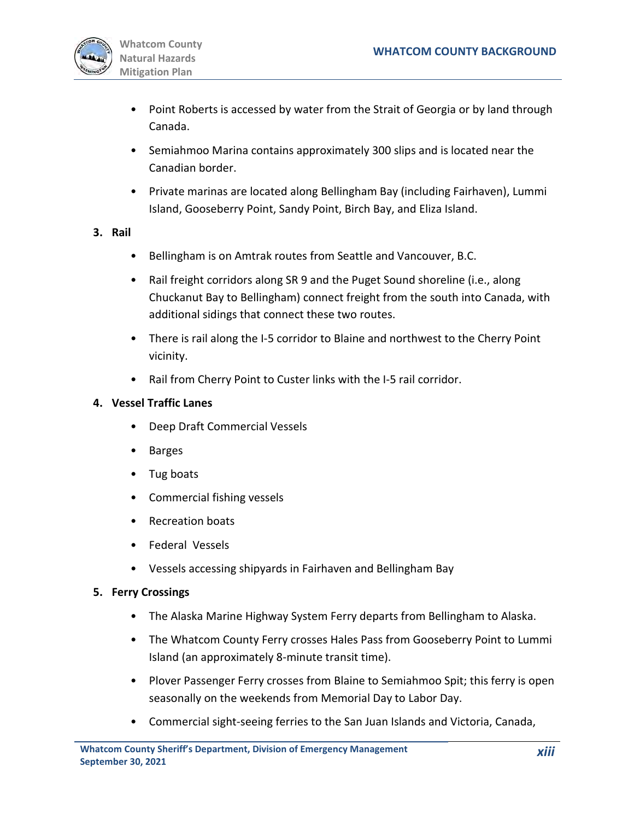

- Point Roberts is accessed by water from the Strait of Georgia or by land through Canada.
- Semiahmoo Marina contains approximately 300 slips and is located near the Canadian border.
- Private marinas are located along Bellingham Bay (including Fairhaven), Lummi Island, Gooseberry Point, Sandy Point, Birch Bay, and Eliza Island.

#### **3. Rail**

- Bellingham is on Amtrak routes from Seattle and Vancouver, B.C.
- Rail freight corridors along SR 9 and the Puget Sound shoreline (i.e., along Chuckanut Bay to Bellingham) connect freight from the south into Canada, with additional sidings that connect these two routes.
- There is rail along the I-5 corridor to Blaine and northwest to the Cherry Point vicinity.
- Rail from Cherry Point to Custer links with the I-5 rail corridor.

#### **4. Vessel Traffic Lanes**

- Deep Draft Commercial Vessels
- Barges
- Tug boats
- Commercial fishing vessels
- Recreation boats
- Federal Vessels
- Vessels accessing shipyards in Fairhaven and Bellingham Bay

#### **5. Ferry Crossings**

- The Alaska Marine Highway System Ferry departs from Bellingham to Alaska.
- The Whatcom County Ferry crosses Hales Pass from Gooseberry Point to Lummi Island (an approximately 8-minute transit time).
- Plover Passenger Ferry crosses from Blaine to Semiahmoo Spit; this ferry is open seasonally on the weekends from Memorial Day to Labor Day.
- Commercial sight-seeing ferries to the San Juan Islands and Victoria, Canada,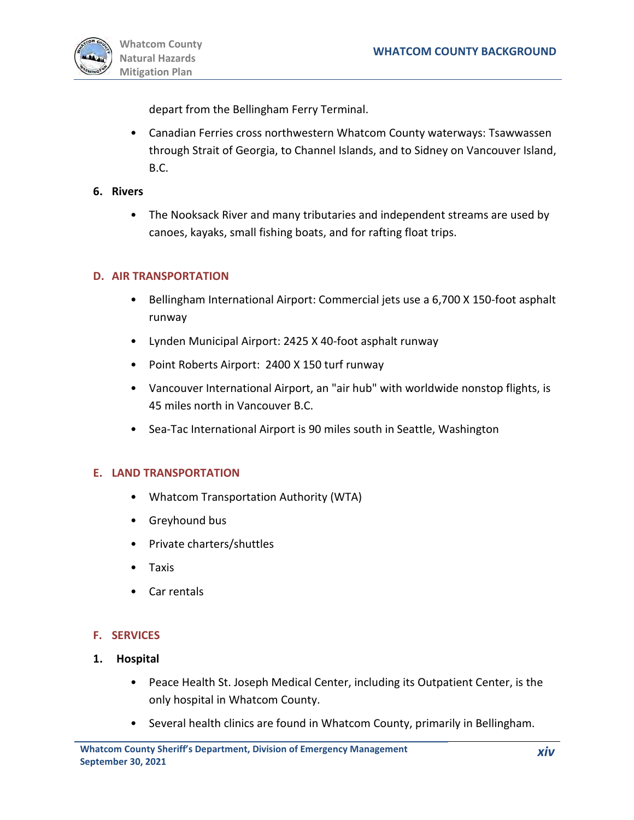

depart from the Bellingham Ferry Terminal.

• Canadian Ferries cross northwestern Whatcom County waterways: Tsawwassen through Strait of Georgia, to Channel Islands, and to Sidney on Vancouver Island, B.C.

#### **6. Rivers**

• The Nooksack River and many tributaries and independent streams are used by canoes, kayaks, small fishing boats, and for rafting float trips.

## **D. AIR TRANSPORTATION**

- Bellingham International Airport: Commercial jets use a 6,700 X 150-foot asphalt runway
- Lynden Municipal Airport: 2425 X 40-foot asphalt runway
- Point Roberts Airport: 2400 X 150 turf runway
- Vancouver International Airport, an "air hub" with worldwide nonstop flights, is 45 miles north in Vancouver B.C.
- Sea-Tac International Airport is 90 miles south in Seattle, Washington

## **E. LAND TRANSPORTATION**

- Whatcom Transportation Authority (WTA)
- Greyhound bus
- Private charters/shuttles
- Taxis
- Car rentals

## **F. SERVICES**

- **1. Hospital** 
	- Peace Health St. Joseph Medical Center, including its Outpatient Center, is the only hospital in Whatcom County.
	- Several health clinics are found in Whatcom County, primarily in Bellingham.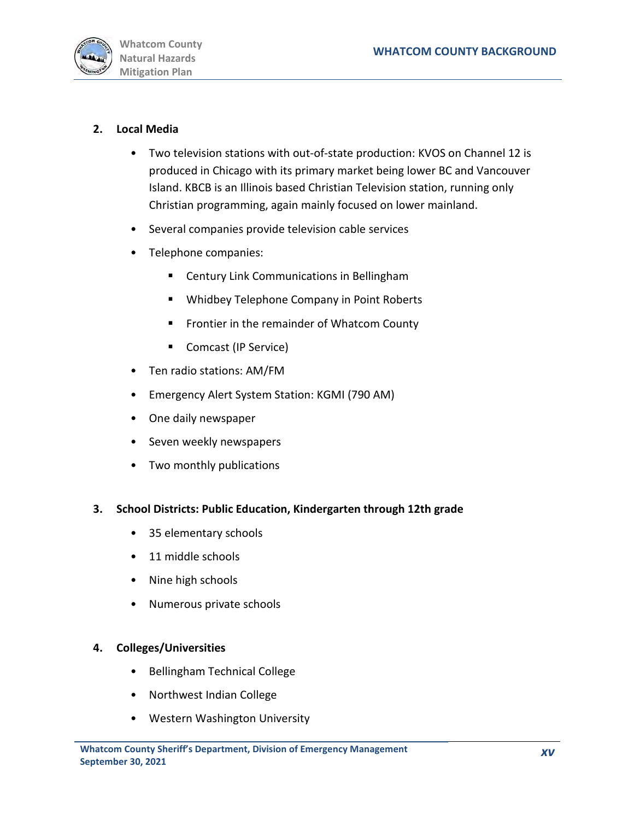

#### **2. Local Media**

- Two television stations with out-of-state production: KVOS on Channel 12 is produced in Chicago with its primary market being lower BC and Vancouver Island. KBCB is an Illinois based Christian Television station, running only Christian programming, again mainly focused on lower mainland.
- Several companies provide television cable services
- Telephone companies:
	- **E** Century Link Communications in Bellingham
	- **Whidbey Telephone Company in Point Roberts**
	- **FIRTH** Frontier in the remainder of Whatcom County
	- Comcast (IP Service)
- Ten radio stations: AM/FM
- Emergency Alert System Station: KGMI (790 AM)
- One daily newspaper
- Seven weekly newspapers
- Two monthly publications

#### **3. School Districts: Public Education, Kindergarten through 12th grade**

- 35 elementary schools
- 11 middle schools
- Nine high schools
- Numerous private schools

#### **4. Colleges/Universities**

- Bellingham Technical College
- Northwest Indian College
- Western Washington University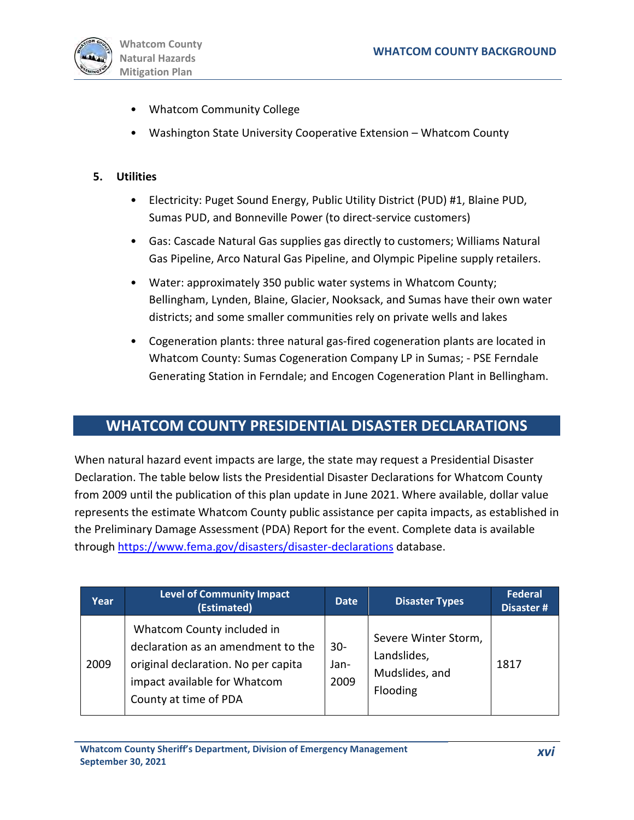

- Whatcom Community College
- Washington State University Cooperative Extension Whatcom County

#### **5. Utilities**

- Electricity: Puget Sound Energy, Public Utility District (PUD) #1, Blaine PUD, Sumas PUD, and Bonneville Power (to direct-service customers)
- Gas: Cascade Natural Gas supplies gas directly to customers; Williams Natural Gas Pipeline, Arco Natural Gas Pipeline, and Olympic Pipeline supply retailers.
- Water: approximately 350 public water systems in Whatcom County; Bellingham, Lynden, Blaine, Glacier, Nooksack, and Sumas have their own water districts; and some smaller communities rely on private wells and lakes
- Cogeneration plants: three natural gas-fired cogeneration plants are located in Whatcom County: Sumas Cogeneration Company LP in Sumas; - PSE Ferndale Generating Station in Ferndale; and Encogen Cogeneration Plant in Bellingham.

## <span id="page-15-0"></span>**WHATCOM COUNTY PRESIDENTIAL DISASTER DECLARATIONS**

When natural hazard event impacts are large, the state may request a Presidential Disaster Declaration. The table below lists the Presidential Disaster Declarations for Whatcom County from 2009 until the publication of this plan update in June 2021. Where available, dollar value represents the estimate Whatcom County public assistance per capita impacts, as established in the Preliminary Damage Assessment (PDA) Report for the event. Complete data is available through<https://www.fema.gov/disasters/disaster-declarations> database.

| Year | <b>Level of Community Impact</b><br>(Estimated)                                                                                                                  | <b>Date</b>            | <b>Disaster Types</b>                                             | <b>Federal</b><br><b>Disaster#</b> |
|------|------------------------------------------------------------------------------------------------------------------------------------------------------------------|------------------------|-------------------------------------------------------------------|------------------------------------|
| 2009 | Whatcom County included in<br>declaration as an amendment to the<br>original declaration. No per capita<br>impact available for Whatcom<br>County at time of PDA | $30 -$<br>Jan-<br>2009 | Severe Winter Storm,<br>Landslides,<br>Mudslides, and<br>Flooding | 1817                               |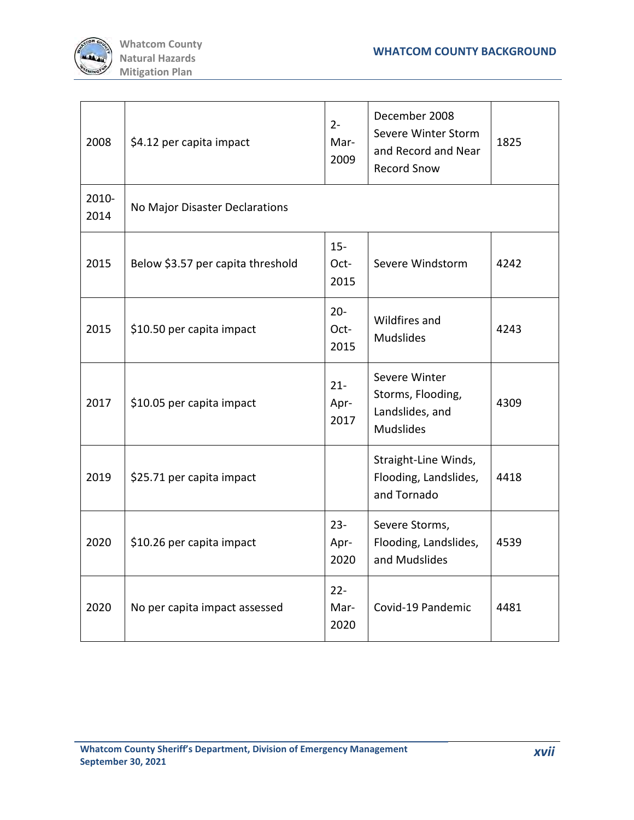



| 2008          | \$4.12 per capita impact          | $2 -$<br>Mar-<br>2009  | December 2008<br>Severe Winter Storm<br>and Record and Near<br><b>Record Snow</b> | 1825 |
|---------------|-----------------------------------|------------------------|-----------------------------------------------------------------------------------|------|
| 2010-<br>2014 | No Major Disaster Declarations    |                        |                                                                                   |      |
| 2015          | Below \$3.57 per capita threshold | $15 -$<br>Oct-<br>2015 | Severe Windstorm                                                                  | 4242 |
| 2015          | \$10.50 per capita impact         | $20 -$<br>Oct-<br>2015 | Wildfires and<br><b>Mudslides</b>                                                 | 4243 |
| 2017          | \$10.05 per capita impact         | $21 -$<br>Apr-<br>2017 | Severe Winter<br>Storms, Flooding,<br>Landslides, and<br>Mudslides                | 4309 |
| 2019          | \$25.71 per capita impact         |                        | Straight-Line Winds,<br>Flooding, Landslides,<br>and Tornado                      | 4418 |
| 2020          | \$10.26 per capita impact         | $23 -$<br>Apr-<br>2020 | Severe Storms,<br>Flooding, Landslides,<br>and Mudslides                          | 4539 |
| 2020          | No per capita impact assessed     | $22 -$<br>Mar-<br>2020 | Covid-19 Pandemic                                                                 | 4481 |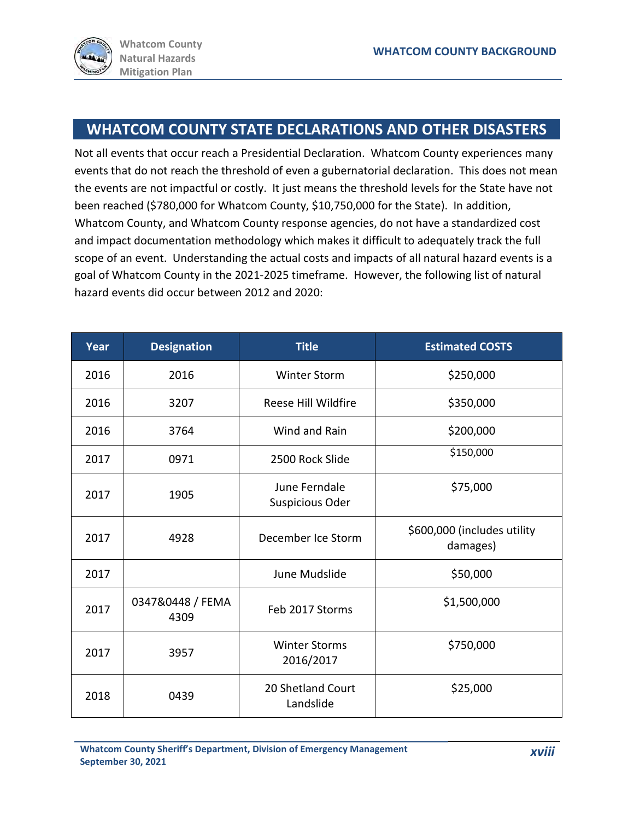

# <span id="page-17-0"></span>**WHATCOM COUNTY STATE DECLARATIONS AND OTHER DISASTERS**

Not all events that occur reach a Presidential Declaration. Whatcom County experiences many events that do not reach the threshold of even a gubernatorial declaration. This does not mean the events are not impactful or costly. It just means the threshold levels for the State have not been reached (\$780,000 for Whatcom County, \$10,750,000 for the State). In addition, Whatcom County, and Whatcom County response agencies, do not have a standardized cost and impact documentation methodology which makes it difficult to adequately track the full scope of an event. Understanding the actual costs and impacts of all natural hazard events is a goal of Whatcom County in the 2021-2025 timeframe. However, the following list of natural hazard events did occur between 2012 and 2020:

| Year | <b>Designation</b>       | <b>Title</b>                      | <b>Estimated COSTS</b>                  |
|------|--------------------------|-----------------------------------|-----------------------------------------|
| 2016 | 2016                     | <b>Winter Storm</b>               | \$250,000                               |
| 2016 | 3207                     | Reese Hill Wildfire               | \$350,000                               |
| 2016 | 3764                     | Wind and Rain                     | \$200,000                               |
| 2017 | 0971                     | 2500 Rock Slide                   | \$150,000                               |
| 2017 | 1905                     | June Ferndale<br>Suspicious Oder  | \$75,000                                |
| 2017 | 4928                     | December Ice Storm                | \$600,000 (includes utility<br>damages) |
| 2017 |                          | June Mudslide                     | \$50,000                                |
| 2017 | 0347&0448 / FEMA<br>4309 | Feb 2017 Storms                   | \$1,500,000                             |
| 2017 | 3957                     | <b>Winter Storms</b><br>2016/2017 | \$750,000                               |
| 2018 | 0439                     | 20 Shetland Court<br>Landslide    | \$25,000                                |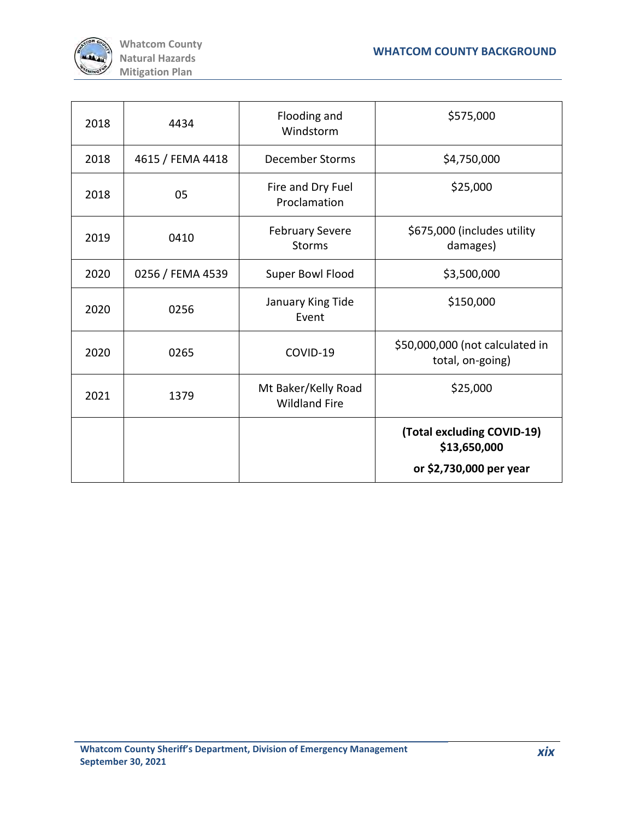

| 2018 | 4434             | Flooding and<br>Windstorm                   | \$575,000                                           |
|------|------------------|---------------------------------------------|-----------------------------------------------------|
| 2018 | 4615 / FEMA 4418 | December Storms                             | \$4,750,000                                         |
| 2018 | 05               | Fire and Dry Fuel<br>Proclamation           | \$25,000                                            |
| 2019 | 0410             | <b>February Severe</b><br><b>Storms</b>     | \$675,000 (includes utility<br>damages)             |
| 2020 | 0256 / FEMA 4539 | Super Bowl Flood                            | \$3,500,000                                         |
| 2020 | 0256             | January King Tide<br>Event                  | \$150,000                                           |
| 2020 | 0265             | COVID-19                                    | \$50,000,000 (not calculated in<br>total, on-going) |
| 2021 | 1379             | Mt Baker/Kelly Road<br><b>Wildland Fire</b> | \$25,000                                            |
|      |                  |                                             | (Total excluding COVID-19)<br>\$13,650,000          |
|      |                  |                                             | or \$2,730,000 per year                             |